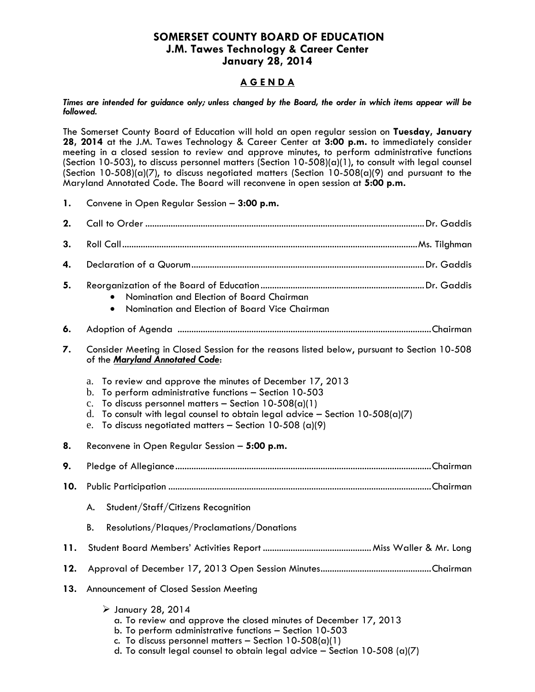## **SOMERSET COUNTY BOARD OF EDUCATION J.M. Tawes Technology & Career Center January 28, 2014**

## **A G E N D A**

*Times are intended for guidance only; unless changed by the Board, the order in which items appear will be followed.*

The Somerset County Board of Education will hold an open regular session on **Tuesday, January 28, 2014** at the J.M. Tawes Technology & Career Center at **3:00 p.m.** to immediately consider meeting in a closed session to review and approve minutes, to perform administrative functions (Section 10-503), to discuss personnel matters (Section 10-508)(a)(1), to consult with legal counsel (Section 10-508)(a)(7), to discuss negotiated matters (Section 10-508(a)(9) and pursuant to the Maryland Annotated Code. The Board will reconvene in open session at **5:00 p.m.**

| 1.  | Convene in Open Regular Session - 3:00 p.m.                                                                                                                                                                                                                                                                                                                |  |  |
|-----|------------------------------------------------------------------------------------------------------------------------------------------------------------------------------------------------------------------------------------------------------------------------------------------------------------------------------------------------------------|--|--|
| 2.  |                                                                                                                                                                                                                                                                                                                                                            |  |  |
| 3.  |                                                                                                                                                                                                                                                                                                                                                            |  |  |
| 4.  |                                                                                                                                                                                                                                                                                                                                                            |  |  |
| 5.  | Nomination and Election of Board Chairman<br>Nomination and Election of Board Vice Chairman<br>$\bullet$                                                                                                                                                                                                                                                   |  |  |
| 6.  |                                                                                                                                                                                                                                                                                                                                                            |  |  |
| 7.  | Consider Meeting in Closed Session for the reasons listed below, pursuant to Section 10-508<br>of the Maryland Annotated Code:                                                                                                                                                                                                                             |  |  |
|     | To review and approve the minutes of December 17, 2013<br>a.<br>To perform administrative functions - Section 10-503<br>b.<br>To discuss personnel matters - Section $10-508(a)(1)$<br>$C_{\bullet}$<br>To consult with legal counsel to obtain legal advice - Section $10-508(a)(7)$<br>d.<br>To discuss negotiated matters - Section 10-508 (a)(9)<br>e. |  |  |
| 8.  | Reconvene in Open Regular Session - 5:00 p.m.                                                                                                                                                                                                                                                                                                              |  |  |
| 9.  |                                                                                                                                                                                                                                                                                                                                                            |  |  |
| 10. |                                                                                                                                                                                                                                                                                                                                                            |  |  |
|     | Student/Staff/Citizens Recognition<br>А.                                                                                                                                                                                                                                                                                                                   |  |  |
|     | Resolutions/Plaques/Proclamations/Donations<br>В.                                                                                                                                                                                                                                                                                                          |  |  |
| 11. |                                                                                                                                                                                                                                                                                                                                                            |  |  |
| 12. |                                                                                                                                                                                                                                                                                                                                                            |  |  |
| 13. | Announcement of Closed Session Meeting                                                                                                                                                                                                                                                                                                                     |  |  |
|     | $\triangleright$ January 28, 2014<br>a. To review and approve the closed minutes of December 17, 2013<br>b. To perform administrative functions - Section 10-503<br>c. To discuss personnel matters - Section $10-508(a)(1)$<br>d. To consult legal counsel to obtain legal advice $-$ Section 10-508 (a)(7)                                               |  |  |